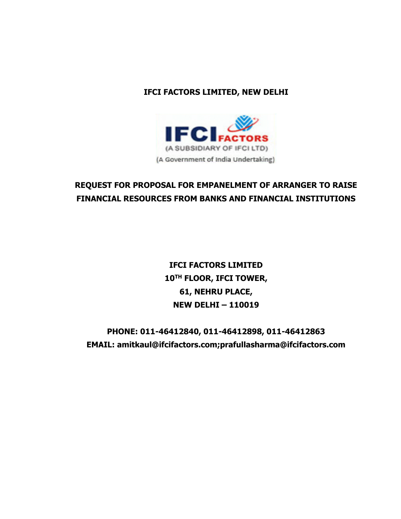## **IFCI FACTORS LIMITED, NEW DELHI**



## **REQUEST FOR PROPOSAL FOR EMPANELMENT OF ARRANGER TO RAISE FINANCIAL RESOURCES FROM BANKS AND FINANCIAL INSTITUTIONS**

**IFCI FACTORS LIMITED 10TH FLOOR, IFCI TOWER, 61, NEHRU PLACE, NEW DELHI – 110019**

**PHONE: 011-46412840, 011-46412898, 011-46412863 EMAIL: amitkaul@ifcifactors.com;prafullasharma@ifcifactors.com**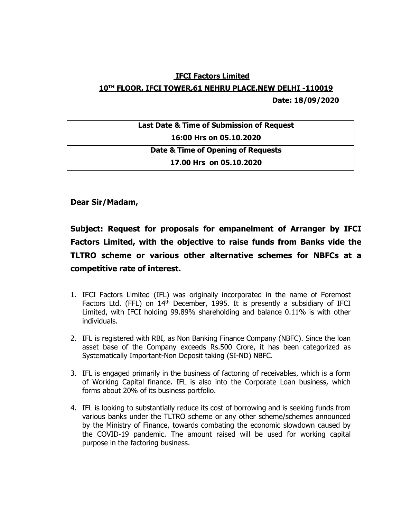## **IFCI Factors Limited 10TH FLOOR, IFCI TOWER,61 NEHRU PLACE,NEW DELHI -110019**

 **Date: 18/09/2020** 

**Dear Sir/Madam,**

**Subject: Request for proposals for empanelment of Arranger by IFCI Factors Limited, with the objective to raise funds from Banks vide the TLTRO scheme or various other alternative schemes for NBFCs at a competitive rate of interest.**

- 1. IFCI Factors Limited (IFL) was originally incorporated in the name of Foremost Factors Ltd. (FFL) on  $14<sup>th</sup>$  December, 1995. It is presently a subsidiary of IFCI Limited, with IFCI holding 99.89% shareholding and balance 0.11% is with other individuals.
- 2. IFL is registered with RBI, as Non Banking Finance Company (NBFC). Since the loan asset base of the Company exceeds Rs.500 Crore, it has been categorized as Systematically Important-Non Deposit taking (SI-ND) NBFC.
- 3. IFL is engaged primarily in the business of factoring of receivables, which is a form of Working Capital finance. IFL is also into the Corporate Loan business, which forms about 20% of its business portfolio.
- 4. IFL is looking to substantially reduce its cost of borrowing and is seeking funds from various banks under the TLTRO scheme or any other scheme/schemes announced by the Ministry of Finance, towards combating the economic slowdown caused by the COVID-19 pandemic. The amount raised will be used for working capital purpose in the factoring business.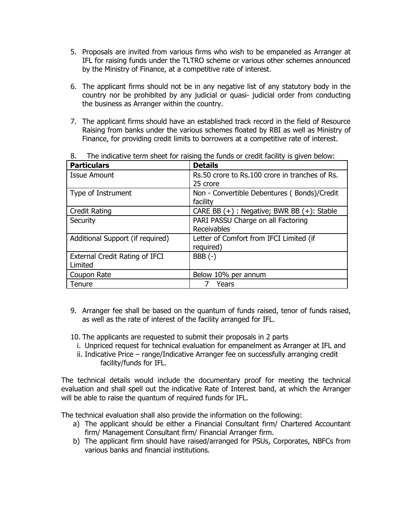- 5. Proposals are invited from various firms who wish to be empaneled as Arranger at IFL for raising funds under the TLTRO scheme or various other schemes announced by the Ministry of Finance, at a competitive rate of interest.
- 6. The applicant firms should not be in any negative list of any statutory body in the country nor be prohibited by any judicial or quasi- judicial order from conducting the business as Arranger within the country.
- 7. The applicant firms should have an established track record in the field of Resource Raising from banks under the various schemes floated by RBI as well as Ministry of Finance, for providing credit limits to borrowers at a competitive rate of interest.

| <b>Particulars</b>                    | <b>Details</b>                                  |
|---------------------------------------|-------------------------------------------------|
| <b>Issue Amount</b>                   | Rs.50 crore to Rs.100 crore in tranches of Rs.  |
|                                       | 25 crore                                        |
| Type of Instrument                    | Non - Convertible Debentures (Bonds)/Credit     |
|                                       | facility                                        |
| <b>Credit Rating</b>                  | CARE BB $(+)$ : Negative; BWR BB $(+)$ : Stable |
| Security                              | PARI PASSU Charge on all Factoring              |
|                                       | Receivables                                     |
| Additional Support (if required)      | Letter of Comfort from IFCI Limited (if         |
|                                       | required)                                       |
| <b>External Credit Rating of IFCI</b> | $BBB(-)$                                        |
| Limited                               |                                                 |
| Coupon Rate                           | Below 10% per annum                             |
| Tenure                                | Years                                           |

8. The indicative term sheet for raising the funds or credit facility is given below:

- 9. Arranger fee shall be based on the quantum of funds raised, tenor of funds raised, as well as the rate of interest of the facility arranged for IFL.
- 10. The applicants are requested to submit their proposals in 2 parts
	- i. Unpriced request for technical evaluation for empanelment as Arranger at IFL and
	- ii. Indicative Price range/Indicative Arranger fee on successfully arranging credit facility/funds for IFL.

The technical details would include the documentary proof for meeting the technical evaluation and shall spell out the indicative Rate of Interest band, at which the Arranger will be able to raise the quantum of required funds for IFL.

The technical evaluation shall also provide the information on the following:

- a) The applicant should be either a Financial Consultant firm/ Chartered Accountant firm/ Management Consultant firm/ Financial Arranger firm.
- b) The applicant firm should have raised/arranged for PSUs, Corporates, NBFCs from various banks and financial institutions.